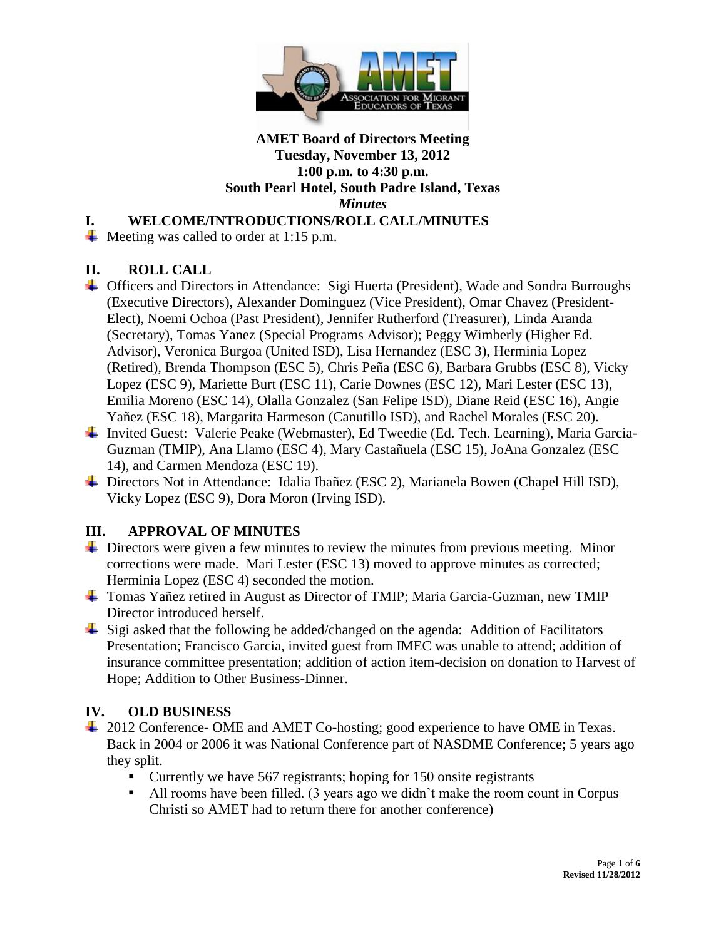

# **I. WELCOME/INTRODUCTIONS/ROLL CALL/MINUTES**

 $\overline{\text{4}}$  Meeting was called to order at 1:15 p.m.

# **II. ROLL CALL**

- Officers and Directors in Attendance: Sigi Huerta (President), Wade and Sondra Burroughs (Executive Directors), Alexander Dominguez (Vice President), Omar Chavez (President-Elect), Noemi Ochoa (Past President), Jennifer Rutherford (Treasurer), Linda Aranda (Secretary), Tomas Yanez (Special Programs Advisor); Peggy Wimberly (Higher Ed. Advisor), Veronica Burgoa (United ISD), Lisa Hernandez (ESC 3), Herminia Lopez (Retired), Brenda Thompson (ESC 5), Chris Peña (ESC 6), Barbara Grubbs (ESC 8), Vicky Lopez (ESC 9), Mariette Burt (ESC 11), Carie Downes (ESC 12), Mari Lester (ESC 13), Emilia Moreno (ESC 14), Olalla Gonzalez (San Felipe ISD), Diane Reid (ESC 16), Angie Yañez (ESC 18), Margarita Harmeson (Canutillo ISD), and Rachel Morales (ESC 20).
- Invited Guest: Valerie Peake (Webmaster), Ed Tweedie (Ed. Tech. Learning), Maria Garcia-Guzman (TMIP), Ana Llamo (ESC 4), Mary Castañuela (ESC 15), JoAna Gonzalez (ESC 14), and Carmen Mendoza (ESC 19).
- Directors Not in Attendance: Idalia Ibañez (ESC 2), Marianela Bowen (Chapel Hill ISD), Vicky Lopez (ESC 9), Dora Moron (Irving ISD).

# **III. APPROVAL OF MINUTES**

- $\overline{\phantom{a}}$  Directors were given a few minutes to review the minutes from previous meeting. Minor corrections were made. Mari Lester (ESC 13) moved to approve minutes as corrected; Herminia Lopez (ESC 4) seconded the motion.
- Tomas Yañez retired in August as Director of TMIP; Maria Garcia-Guzman, new TMIP Director introduced herself.
- $\frac{1}{2}$  Sigi asked that the following be added/changed on the agenda: Addition of Facilitators Presentation; Francisco Garcia, invited guest from IMEC was unable to attend; addition of insurance committee presentation; addition of action item-decision on donation to Harvest of Hope; Addition to Other Business-Dinner.

# **IV. OLD BUSINESS**

- <sup>1</sup>/<sub>2012</sub> Conference- OME and AMET Co-hosting; good experience to have OME in Texas. Back in 2004 or 2006 it was National Conference part of NASDME Conference; 5 years ago they split.
	- Currently we have 567 registrants; hoping for 150 onsite registrants
	- All rooms have been filled. (3 years ago we didn't make the room count in Corpus Christi so AMET had to return there for another conference)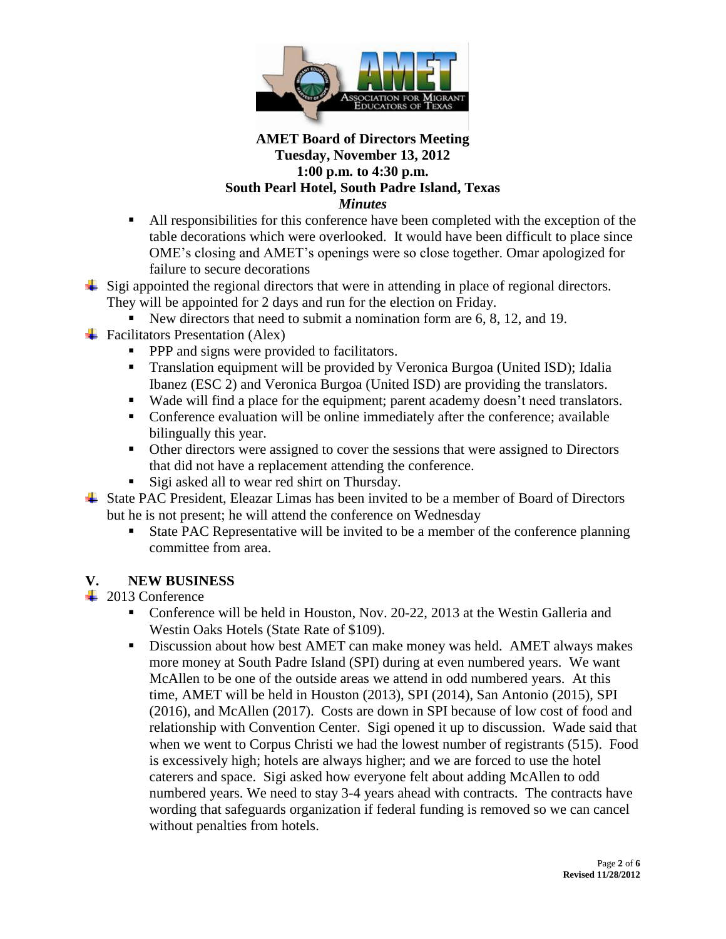

- All responsibilities for this conference have been completed with the exception of the table decorations which were overlooked. It would have been difficult to place since OME's closing and AMET's openings were so close together. Omar apologized for failure to secure decorations
- Sigi appointed the regional directors that were in attending in place of regional directors. They will be appointed for 2 days and run for the election on Friday.
	- New directors that need to submit a nomination form are 6, 8, 12, and 19.
- $\overline{\phantom{a}}$  Facilitators Presentation (Alex)
	- **PPP** and signs were provided to facilitators.
	- Translation equipment will be provided by Veronica Burgoa (United ISD); Idalia Ibanez (ESC 2) and Veronica Burgoa (United ISD) are providing the translators.
	- Wade will find a place for the equipment; parent academy doesn't need translators.
	- Conference evaluation will be online immediately after the conference; available bilingually this year.
	- Other directors were assigned to cover the sessions that were assigned to Directors that did not have a replacement attending the conference.
	- Sigi asked all to wear red shirt on Thursday.
- State PAC President, Eleazar Limas has been invited to be a member of Board of Directors but he is not present; he will attend the conference on Wednesday
	- State PAC Representative will be invited to be a member of the conference planning committee from area.

# **V. NEW BUSINESS**

**↓** 2013 Conference

- Conference will be held in Houston, Nov. 20-22, 2013 at the Westin Galleria and Westin Oaks Hotels (State Rate of \$109).
- Discussion about how best AMET can make money was held. AMET always makes more money at South Padre Island (SPI) during at even numbered years. We want McAllen to be one of the outside areas we attend in odd numbered years. At this time, AMET will be held in Houston (2013), SPI (2014), San Antonio (2015), SPI (2016), and McAllen (2017). Costs are down in SPI because of low cost of food and relationship with Convention Center. Sigi opened it up to discussion. Wade said that when we went to Corpus Christi we had the lowest number of registrants (515). Food is excessively high; hotels are always higher; and we are forced to use the hotel caterers and space. Sigi asked how everyone felt about adding McAllen to odd numbered years. We need to stay 3-4 years ahead with contracts. The contracts have wording that safeguards organization if federal funding is removed so we can cancel without penalties from hotels.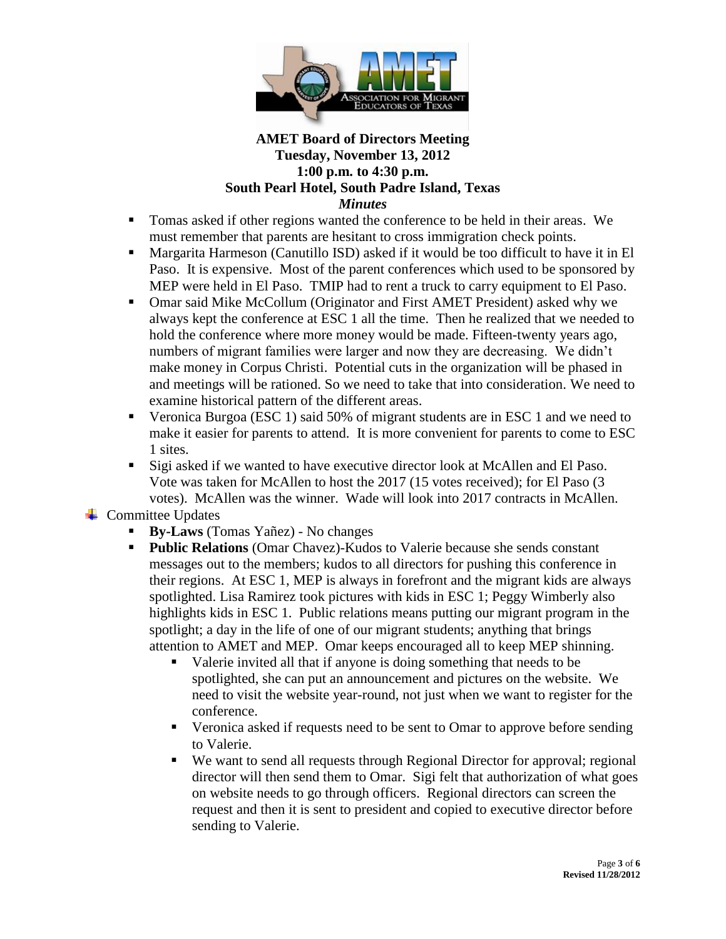

- Tomas asked if other regions wanted the conference to be held in their areas. We must remember that parents are hesitant to cross immigration check points.
- Margarita Harmeson (Canutillo ISD) asked if it would be too difficult to have it in El Paso. It is expensive. Most of the parent conferences which used to be sponsored by MEP were held in El Paso. TMIP had to rent a truck to carry equipment to El Paso.
- Omar said Mike McCollum (Originator and First AMET President) asked why we always kept the conference at ESC 1 all the time. Then he realized that we needed to hold the conference where more money would be made. Fifteen-twenty years ago, numbers of migrant families were larger and now they are decreasing. We didn't make money in Corpus Christi. Potential cuts in the organization will be phased in and meetings will be rationed. So we need to take that into consideration. We need to examine historical pattern of the different areas.
- Veronica Burgoa (ESC 1) said 50% of migrant students are in ESC 1 and we need to make it easier for parents to attend. It is more convenient for parents to come to ESC 1 sites.
- Sigi asked if we wanted to have executive director look at McAllen and El Paso. Vote was taken for McAllen to host the 2017 (15 votes received); for El Paso (3 votes). McAllen was the winner. Wade will look into 2017 contracts in McAllen.

 $\leftarrow$  Committee Updates

- **By-Laws** (Tomas Yañez) No changes
- **Public Relations** (Omar Chavez)-Kudos to Valerie because she sends constant messages out to the members; kudos to all directors for pushing this conference in their regions. At ESC 1, MEP is always in forefront and the migrant kids are always spotlighted. Lisa Ramirez took pictures with kids in ESC 1; Peggy Wimberly also highlights kids in ESC 1. Public relations means putting our migrant program in the spotlight; a day in the life of one of our migrant students; anything that brings attention to AMET and MEP. Omar keeps encouraged all to keep MEP shinning.
	- Valerie invited all that if anyone is doing something that needs to be spotlighted, she can put an announcement and pictures on the website. We need to visit the website year-round, not just when we want to register for the conference.
	- Veronica asked if requests need to be sent to Omar to approve before sending to Valerie.
	- We want to send all requests through Regional Director for approval; regional director will then send them to Omar. Sigi felt that authorization of what goes on website needs to go through officers. Regional directors can screen the request and then it is sent to president and copied to executive director before sending to Valerie.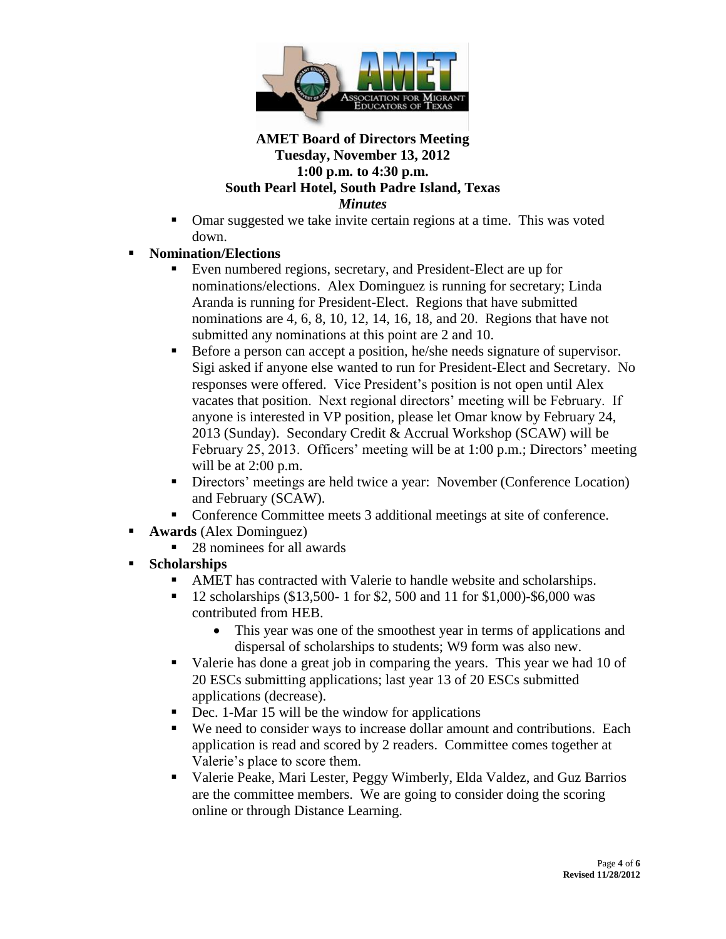

- Omar suggested we take invite certain regions at a time. This was voted down.
- **Nomination/Elections**
	- Even numbered regions, secretary, and President-Elect are up for nominations/elections. Alex Dominguez is running for secretary; Linda Aranda is running for President-Elect. Regions that have submitted nominations are 4, 6, 8, 10, 12, 14, 16, 18, and 20. Regions that have not submitted any nominations at this point are 2 and 10.
	- Before a person can accept a position, he/she needs signature of supervisor. Sigi asked if anyone else wanted to run for President-Elect and Secretary. No responses were offered. Vice President's position is not open until Alex vacates that position. Next regional directors' meeting will be February. If anyone is interested in VP position, please let Omar know by February 24, 2013 (Sunday). Secondary Credit & Accrual Workshop (SCAW) will be February 25, 2013. Officers' meeting will be at 1:00 p.m.; Directors' meeting will be at 2:00 p.m.
	- Directors' meetings are held twice a year: November (Conference Location) and February (SCAW).
	- Conference Committee meets 3 additional meetings at site of conference.
- **Awards** (Alex Dominguez)
	- 28 nominees for all awards
- **Scholarships**
	- AMET has contracted with Valerie to handle website and scholarships.
	- 12 scholarships (\$13,500- 1 for \$2, 500 and 11 for \$1,000)-\$6,000 was contributed from HEB.
		- This year was one of the smoothest year in terms of applications and dispersal of scholarships to students; W9 form was also new.
	- Valerie has done a great job in comparing the years. This year we had 10 of 20 ESCs submitting applications; last year 13 of 20 ESCs submitted applications (decrease).
	- Dec. 1-Mar 15 will be the window for applications
	- We need to consider ways to increase dollar amount and contributions. Each application is read and scored by 2 readers. Committee comes together at Valerie's place to score them.
	- Valerie Peake, Mari Lester, Peggy Wimberly, Elda Valdez, and Guz Barrios are the committee members. We are going to consider doing the scoring online or through Distance Learning.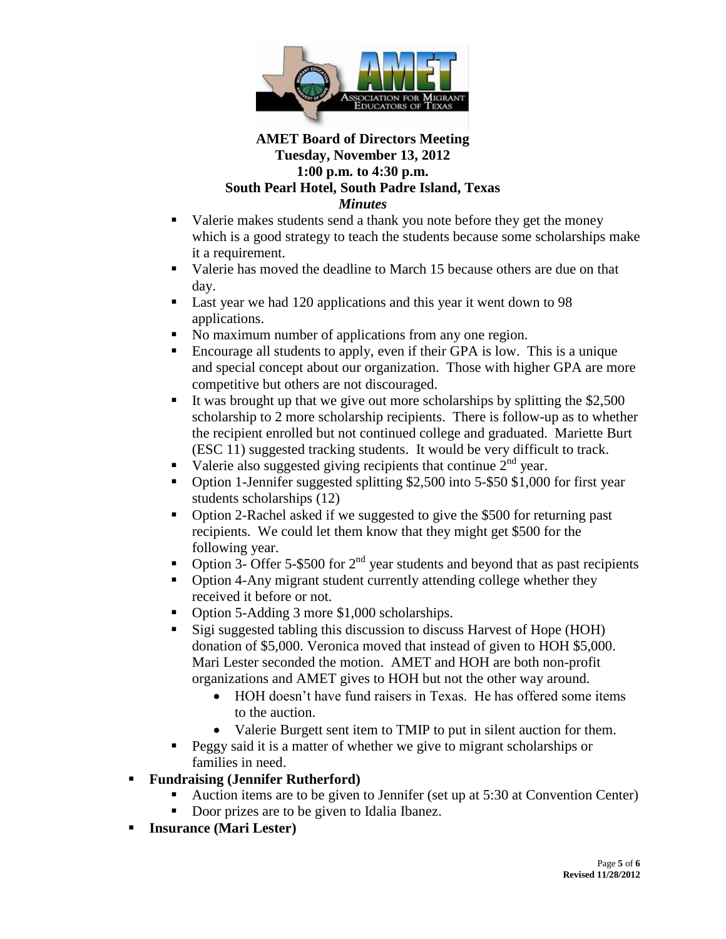

- Valerie makes students send a thank you note before they get the money which is a good strategy to teach the students because some scholarships make it a requirement.
- Valerie has moved the deadline to March 15 because others are due on that day.
- Last year we had 120 applications and this year it went down to 98 applications.
- No maximum number of applications from any one region.
- Encourage all students to apply, even if their GPA is low. This is a unique and special concept about our organization. Those with higher GPA are more competitive but others are not discouraged.
- It was brought up that we give out more scholarships by splitting the  $$2,500$ scholarship to 2 more scholarship recipients. There is follow-up as to whether the recipient enrolled but not continued college and graduated. Mariette Burt (ESC 11) suggested tracking students. It would be very difficult to track.
- Valerie also suggested giving recipients that continue  $2<sup>nd</sup>$  year.
- Option 1-Jennifer suggested splitting \$2,500 into 5-\$50 \$1,000 for first year students scholarships (12)
- Option 2-Rachel asked if we suggested to give the \$500 for returning past recipients. We could let them know that they might get \$500 for the following year.
- Option 3- Offer 5-\$500 for  $2<sup>nd</sup>$  year students and beyond that as past recipients
- Option 4-Any migrant student currently attending college whether they received it before or not.
- Option 5-Adding 3 more \$1,000 scholarships.
- Sigi suggested tabling this discussion to discuss Harvest of Hope (HOH) donation of \$5,000. Veronica moved that instead of given to HOH \$5,000. Mari Lester seconded the motion. AMET and HOH are both non-profit organizations and AMET gives to HOH but not the other way around.
	- HOH doesn't have fund raisers in Texas. He has offered some items to the auction.
	- Valerie Burgett sent item to TMIP to put in silent auction for them.
- Peggy said it is a matter of whether we give to migrant scholarships or families in need.
- **Fundraising (Jennifer Rutherford)**
	- Auction items are to be given to Jennifer (set up at 5:30 at Convention Center)
	- Door prizes are to be given to Idalia Ibanez.
- **Insurance (Mari Lester)**